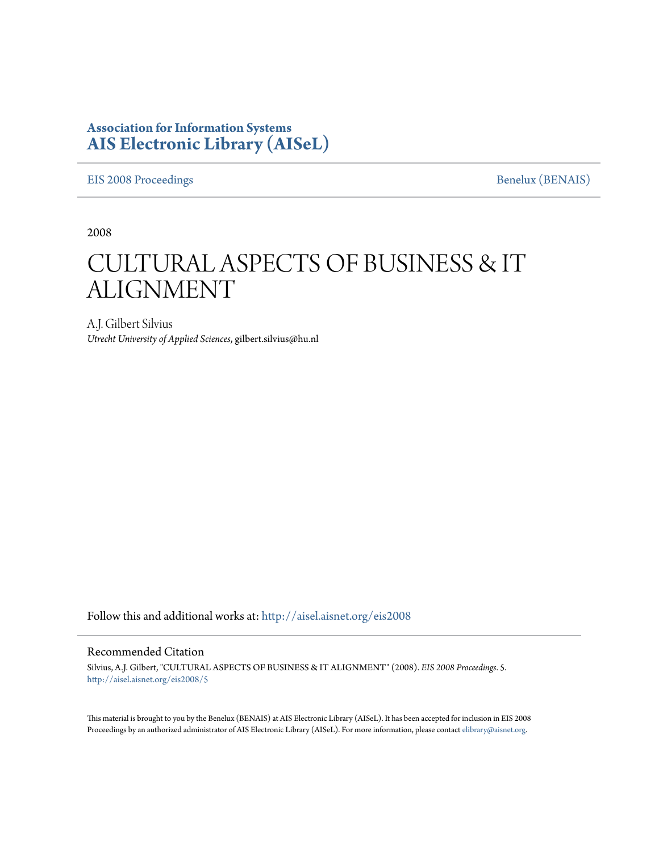## **Association for Information Systems [AIS Electronic Library \(AISeL\)](http://aisel.aisnet.org?utm_source=aisel.aisnet.org%2Feis2008%2F5&utm_medium=PDF&utm_campaign=PDFCoverPages)**

[EIS 2008 Proceedings](http://aisel.aisnet.org/eis2008?utm_source=aisel.aisnet.org%2Feis2008%2F5&utm_medium=PDF&utm_campaign=PDFCoverPages) [Benelux \(BENAIS\)](http://aisel.aisnet.org/benais?utm_source=aisel.aisnet.org%2Feis2008%2F5&utm_medium=PDF&utm_campaign=PDFCoverPages)

2008

# CULTURAL ASPECTS OF BUSINESS & IT ALIGNMENT

A.J. Gilbert Silvius *Utrecht University of Applied Sciences*, gilbert.silvius@hu.nl

Follow this and additional works at: [http://aisel.aisnet.org/eis2008](http://aisel.aisnet.org/eis2008?utm_source=aisel.aisnet.org%2Feis2008%2F5&utm_medium=PDF&utm_campaign=PDFCoverPages)

### Recommended Citation

Silvius, A.J. Gilbert, "CULTURAL ASPECTS OF BUSINESS & IT ALIGNMENT" (2008). *EIS 2008 Proceedings*. 5. [http://aisel.aisnet.org/eis2008/5](http://aisel.aisnet.org/eis2008/5?utm_source=aisel.aisnet.org%2Feis2008%2F5&utm_medium=PDF&utm_campaign=PDFCoverPages)

This material is brought to you by the Benelux (BENAIS) at AIS Electronic Library (AISeL). It has been accepted for inclusion in EIS 2008 Proceedings by an authorized administrator of AIS Electronic Library (AISeL). For more information, please contact [elibrary@aisnet.org](mailto:elibrary@aisnet.org%3E).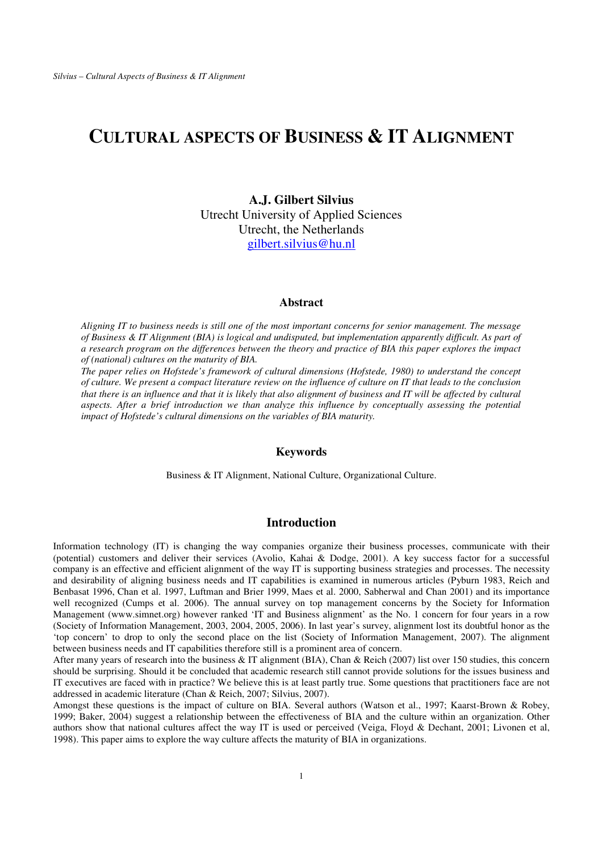## **CULTURAL ASPECTS OF BUSINESS & IT ALIGNMENT**

**A.J. Gilbert Silvius**  Utrecht University of Applied Sciences Utrecht, the Netherlands gilbert.silvius@hu.nl

#### **Abstract**

*Aligning IT to business needs is still one of the most important concerns for senior management. The message of Business & IT Alignment (BIA) is logical and undisputed, but implementation apparently difficult. As part of a research program on the differences between the theory and practice of BIA this paper explores the impact of (national) cultures on the maturity of BIA.* 

*The paper relies on Hofstede's framework of cultural dimensions (Hofstede, 1980) to understand the concept of culture. We present a compact literature review on the influence of culture on IT that leads to the conclusion that there is an influence and that it is likely that also alignment of business and IT will be affected by cultural aspects. After a brief introduction we than analyze this influence by conceptually assessing the potential impact of Hofstede's cultural dimensions on the variables of BIA maturity.* 

#### **Keywords**

Business & IT Alignment, National Culture, Organizational Culture.

#### **Introduction**

Information technology (IT) is changing the way companies organize their business processes, communicate with their (potential) customers and deliver their services (Avolio, Kahai & Dodge, 2001). A key success factor for a successful company is an effective and efficient alignment of the way IT is supporting business strategies and processes. The necessity and desirability of aligning business needs and IT capabilities is examined in numerous articles (Pyburn 1983, Reich and Benbasat 1996, Chan et al. 1997, Luftman and Brier 1999, Maes et al. 2000, Sabherwal and Chan 2001) and its importance well recognized (Cumps et al. 2006). The annual survey on top management concerns by the Society for Information Management (www.simnet.org) however ranked 'IT and Business alignment' as the No. 1 concern for four years in a row (Society of Information Management, 2003, 2004, 2005, 2006). In last year's survey, alignment lost its doubtful honor as the 'top concern' to drop to only the second place on the list (Society of Information Management, 2007). The alignment between business needs and IT capabilities therefore still is a prominent area of concern.

After many years of research into the business & IT alignment (BIA), Chan & Reich (2007) list over 150 studies, this concern should be surprising. Should it be concluded that academic research still cannot provide solutions for the issues business and IT executives are faced with in practice? We believe this is at least partly true. Some questions that practitioners face are not addressed in academic literature (Chan & Reich, 2007; Silvius, 2007).

Amongst these questions is the impact of culture on BIA. Several authors (Watson et al., 1997; Kaarst-Brown & Robey, 1999; Baker, 2004) suggest a relationship between the effectiveness of BIA and the culture within an organization. Other authors show that national cultures affect the way IT is used or perceived (Veiga, Floyd & Dechant, 2001; Livonen et al, 1998). This paper aims to explore the way culture affects the maturity of BIA in organizations.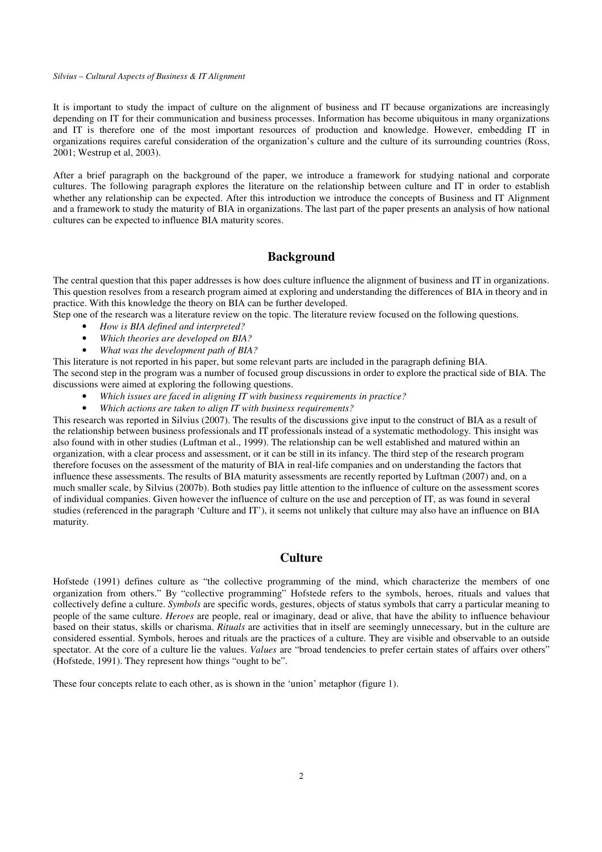It is important to study the impact of culture on the alignment of business and IT because organizations are increasingly depending on IT for their communication and business processes. Information has become ubiquitous in many organizations and IT is therefore one of the most important resources of production and knowledge. However, embedding IT in organizations requires careful consideration of the organization's culture and the culture of its surrounding countries (Ross, 2001; Westrup et al, 2003).

After a brief paragraph on the background of the paper, we introduce a framework for studying national and corporate cultures. The following paragraph explores the literature on the relationship between culture and IT in order to establish whether any relationship can be expected. After this introduction we introduce the concepts of Business and IT Alignment and a framework to study the maturity of BIA in organizations. The last part of the paper presents an analysis of how national cultures can be expected to influence BIA maturity scores.

## **Background**

The central question that this paper addresses is how does culture influence the alignment of business and IT in organizations. This question resolves from a research program aimed at exploring and understanding the differences of BIA in theory and in practice. With this knowledge the theory on BIA can be further developed.

Step one of the research was a literature review on the topic. The literature review focused on the following questions.

- *How is BIA defined and interpreted?*
- *Which theories are developed on BIA?*
- *What was the development path of BIA?*

This literature is not reported in his paper, but some relevant parts are included in the paragraph defining BIA. The second step in the program was a number of focused group discussions in order to explore the practical side of BIA. The discussions were aimed at exploring the following questions.

- *Which issues are faced in aligning IT with business requirements in practice?*
- *Which actions are taken to align IT with business requirements?*

This research was reported in Silvius (2007). The results of the discussions give input to the construct of BIA as a result of the relationship between business professionals and IT professionals instead of a systematic methodology. This insight was also found with in other studies (Luftman et al., 1999). The relationship can be well established and matured within an organization, with a clear process and assessment, or it can be still in its infancy. The third step of the research program therefore focuses on the assessment of the maturity of BIA in real-life companies and on understanding the factors that influence these assessments. The results of BIA maturity assessments are recently reported by Luftman (2007) and, on a much smaller scale, by Silvius (2007b). Both studies pay little attention to the influence of culture on the assessment scores of individual companies. Given however the influence of culture on the use and perception of IT, as was found in several studies (referenced in the paragraph 'Culture and IT'), it seems not unlikely that culture may also have an influence on BIA maturity.

### **Culture**

Hofstede (1991) defines culture as "the collective programming of the mind, which characterize the members of one organization from others." By "collective programming" Hofstede refers to the symbols, heroes, rituals and values that collectively define a culture. *Symbols* are specific words, gestures, objects of status symbols that carry a particular meaning to people of the same culture. *Heroes* are people, real or imaginary, dead or alive, that have the ability to influence behaviour based on their status, skills or charisma. *Rituals* are activities that in itself are seemingly unnecessary, but in the culture are considered essential. Symbols, heroes and rituals are the practices of a culture. They are visible and observable to an outside spectator. At the core of a culture lie the values. *Values* are "broad tendencies to prefer certain states of affairs over others" (Hofstede, 1991). They represent how things "ought to be".

These four concepts relate to each other, as is shown in the 'union' metaphor (figure 1).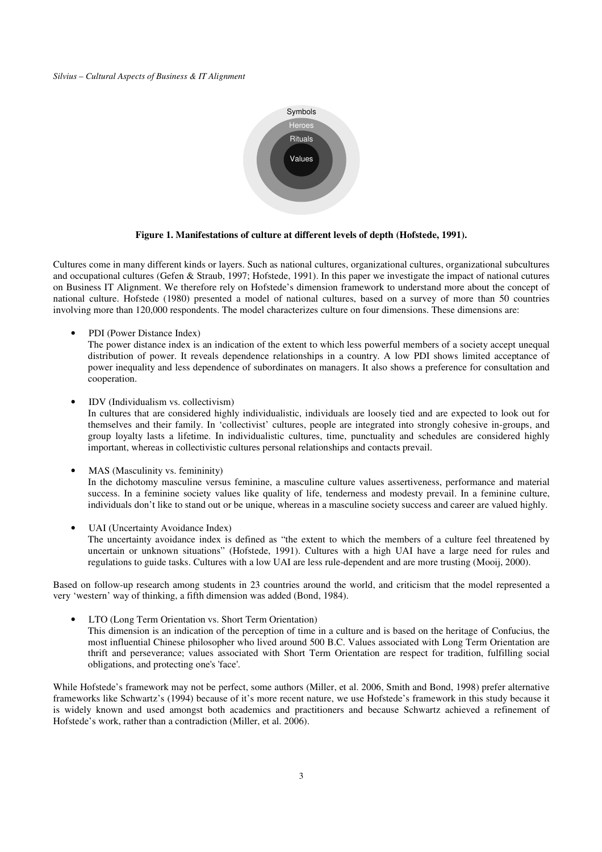

#### **Figure 1. Manifestations of culture at different levels of depth (Hofstede, 1991).**

Cultures come in many different kinds or layers. Such as national cultures, organizational cultures, organizational subcultures and occupational cultures (Gefen & Straub, 1997; Hofstede, 1991). In this paper we investigate the impact of national cutures on Business IT Alignment. We therefore rely on Hofstede's dimension framework to understand more about the concept of national culture. Hofstede (1980) presented a model of national cultures, based on a survey of more than 50 countries involving more than 120,000 respondents. The model characterizes culture on four dimensions. These dimensions are:

• PDI (Power Distance Index)

The power distance index is an indication of the extent to which less powerful members of a society accept unequal distribution of power. It reveals dependence relationships in a country. A low PDI shows limited acceptance of power inequality and less dependence of subordinates on managers. It also shows a preference for consultation and cooperation.

• IDV (Individualism vs. collectivism)

In cultures that are considered highly individualistic, individuals are loosely tied and are expected to look out for themselves and their family. In 'collectivist' cultures, people are integrated into strongly cohesive in-groups, and group loyalty lasts a lifetime. In individualistic cultures, time, punctuality and schedules are considered highly important, whereas in collectivistic cultures personal relationships and contacts prevail.

- MAS (Masculinity vs. femininity) In the dichotomy masculine versus feminine, a masculine culture values assertiveness, performance and material success. In a feminine society values like quality of life, tenderness and modesty prevail. In a feminine culture, individuals don't like to stand out or be unique, whereas in a masculine society success and career are valued highly.
- UAI (Uncertainty Avoidance Index) The uncertainty avoidance index is defined as "the extent to which the members of a culture feel threatened by uncertain or unknown situations" (Hofstede, 1991). Cultures with a high UAI have a large need for rules and regulations to guide tasks. Cultures with a low UAI are less rule-dependent and are more trusting (Mooij, 2000).

Based on follow-up research among students in 23 countries around the world, and criticism that the model represented a very 'western' way of thinking, a fifth dimension was added (Bond, 1984).

- LTO (Long Term Orientation vs. Short Term Orientation)
	- This dimension is an indication of the perception of time in a culture and is based on the heritage of Confucius, the most influential Chinese philosopher who lived around 500 B.C. Values associated with Long Term Orientation are thrift and perseverance; values associated with Short Term Orientation are respect for tradition, fulfilling social obligations, and protecting one's 'face'.

While Hofstede's framework may not be perfect, some authors (Miller, et al. 2006, Smith and Bond, 1998) prefer alternative frameworks like Schwartz's (1994) because of it's more recent nature, we use Hofstede's framework in this study because it is widely known and used amongst both academics and practitioners and because Schwartz achieved a refinement of Hofstede's work, rather than a contradiction (Miller, et al. 2006).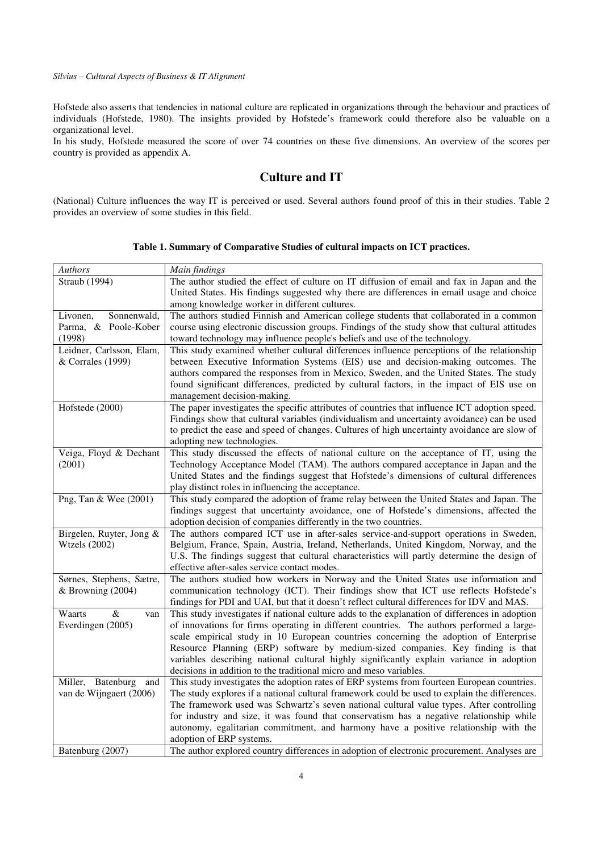Hofstede also asserts that tendencies in national culture are replicated in organizations through the behaviour and practices of individuals (Hofstede, 1980). The insights provided by Hofstede's framework could therefore also be valuable on a organizational level.

In his study, Hofstede measured the score of over 74 countries on these five dimensions. An overview of the scores per country is provided as appendix A.

## **Culture and IT**

(National) Culture influences the way IT is perceived or used. Several authors found proof of this in their studies. Table 2 provides an overview of some studies in this field.

| Authors                  | Main findings                                                                                  |
|--------------------------|------------------------------------------------------------------------------------------------|
| Straub (1994)            | The author studied the effect of culture on IT diffusion of email and fax in Japan and the     |
|                          | United States. His findings suggested why there are differences in email usage and choice      |
|                          | among knowledge worker in different cultures.                                                  |
| Sonnenwald,<br>Livonen,  | The authors studied Finnish and American college students that collaborated in a common        |
| Parma, & Poole-Kober     | course using electronic discussion groups. Findings of the study show that cultural attitudes  |
| (1998)                   | toward technology may influence people's beliefs and use of the technology.                    |
| Leidner, Carlsson, Elam, | This study examined whether cultural differences influence perceptions of the relationship     |
| & Corrales (1999)        | between Executive Information Systems (EIS) use and decision-making outcomes. The              |
|                          | authors compared the responses from in Mexico, Sweden, and the United States. The study        |
|                          | found significant differences, predicted by cultural factors, in the impact of EIS use on      |
|                          | management decision-making.                                                                    |
| Hofstede (2000)          | The paper investigates the specific attributes of countries that influence ICT adoption speed. |
|                          | Findings show that cultural variables (individualism and uncertainty avoidance) can be used    |
|                          | to predict the ease and speed of changes. Cultures of high uncertainty avoidance are slow of   |
|                          | adopting new technologies.                                                                     |
| Veiga, Floyd & Dechant   | This study discussed the effects of national culture on the acceptance of IT, using the        |
| (2001)                   | Technology Acceptance Model (TAM). The authors compared acceptance in Japan and the            |
|                          | United States and the findings suggest that Hofstede's dimensions of cultural differences      |
|                          | play distinct roles in influencing the acceptance.                                             |
| Png, Tan & Wee (2001)    | This study compared the adoption of frame relay between the United States and Japan. The       |
|                          | findings suggest that uncertainty avoidance, one of Hofstede's dimensions, affected the        |
|                          | adoption decision of companies differently in the two countries.                               |
| Birgelen, Ruyter, Jong & | The authors compared ICT use in after-sales service-and-support operations in Sweden,          |
| Wtzels (2002)            | Belgium, France, Spain, Austria, Ireland, Netherlands, United Kingdom, Norway, and the         |
|                          | U.S. The findings suggest that cultural characteristics will partly determine the design of    |
|                          | effective after-sales service contact modes.                                                   |
| Sørnes, Stephens, Sætre, | The authors studied how workers in Norway and the United States use information and            |
| & Browning $(2004)$      | communication technology (ICT). Their findings show that ICT use reflects Hofstede's           |
|                          | findings for PDI and UAI, but that it doesn't reflect cultural differences for IDV and MAS.    |
| Waarts<br>&<br>van       | This study investigates if national culture adds to the explanation of differences in adoption |
| Everdingen (2005)        | of innovations for firms operating in different countries. The authors performed a large-      |
|                          | scale empirical study in 10 European countries concerning the adoption of Enterprise           |
|                          | Resource Planning (ERP) software by medium-sized companies. Key finding is that                |
|                          | variables describing national cultural highly significantly explain variance in adoption       |
|                          | decisions in addition to the traditional micro and meso variables.                             |
| Miller, Batenburg<br>and | This study investigates the adoption rates of ERP systems from fourteen European countries.    |
| van de Wijngaert (2006)  | The study explores if a national cultural framework could be used to explain the differences.  |
|                          |                                                                                                |
|                          | The framework used was Schwartz's seven national cultural value types. After controlling       |
|                          | for industry and size, it was found that conservatism has a negative relationship while        |
|                          | autonomy, egalitarian commitment, and harmony have a positive relationship with the            |
|                          | adoption of ERP systems.                                                                       |
| Batenburg (2007)         | The author explored country differences in adoption of electronic procurement. Analyses are    |

**Table 1. Summary of Comparative Studies of cultural impacts on ICT practices.**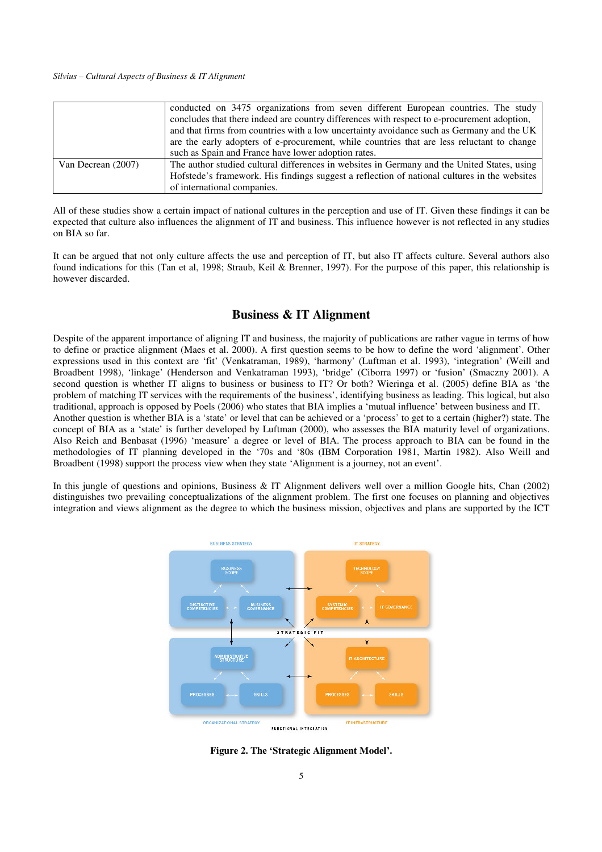|                    | conducted on 3475 organizations from seven different European countries. The study           |  |  |  |  |  |  |  |  |
|--------------------|----------------------------------------------------------------------------------------------|--|--|--|--|--|--|--|--|
|                    | concludes that there indeed are country differences with respect to e-procurement adoption,  |  |  |  |  |  |  |  |  |
|                    | and that firms from countries with a low uncertainty avoidance such as Germany and the UK    |  |  |  |  |  |  |  |  |
|                    | are the early adopters of e-procurement, while countries that are less reluctant to change   |  |  |  |  |  |  |  |  |
|                    | such as Spain and France have lower adoption rates.                                          |  |  |  |  |  |  |  |  |
| Van Decrean (2007) | The author studied cultural differences in websites in Germany and the United States, using  |  |  |  |  |  |  |  |  |
|                    | Hofstede's framework. His findings suggest a reflection of national cultures in the websites |  |  |  |  |  |  |  |  |
|                    | of international companies.                                                                  |  |  |  |  |  |  |  |  |

All of these studies show a certain impact of national cultures in the perception and use of IT. Given these findings it can be expected that culture also influences the alignment of IT and business. This influence however is not reflected in any studies on BIA so far.

It can be argued that not only culture affects the use and perception of IT, but also IT affects culture. Several authors also found indications for this (Tan et al, 1998; Straub, Keil & Brenner, 1997). For the purpose of this paper, this relationship is however discarded.

#### **Business & IT Alignment**

Despite of the apparent importance of aligning IT and business, the majority of publications are rather vague in terms of how to define or practice alignment (Maes et al. 2000). A first question seems to be how to define the word 'alignment'. Other expressions used in this context are 'fit' (Venkatraman, 1989), 'harmony' (Luftman et al. 1993), 'integration' (Weill and Broadbent 1998), 'linkage' (Henderson and Venkatraman 1993), 'bridge' (Ciborra 1997) or 'fusion' (Smaczny 2001). A second question is whether IT aligns to business or business to IT? Or both? Wieringa et al. (2005) define BIA as 'the problem of matching IT services with the requirements of the business', identifying business as leading. This logical, but also traditional, approach is opposed by Poels (2006) who states that BIA implies a 'mutual influence' between business and IT. Another question is whether BIA is a 'state' or level that can be achieved or a 'process' to get to a certain (higher?) state. The concept of BIA as a 'state' is further developed by Luftman (2000), who assesses the BIA maturity level of organizations. Also Reich and Benbasat (1996) 'measure' a degree or level of BIA. The process approach to BIA can be found in the methodologies of IT planning developed in the '70s and '80s (IBM Corporation 1981, Martin 1982). Also Weill and Broadbent (1998) support the process view when they state 'Alignment is a journey, not an event'.

In this jungle of questions and opinions, Business & IT Alignment delivers well over a million Google hits, Chan (2002) distinguishes two prevailing conceptualizations of the alignment problem. The first one focuses on planning and objectives integration and views alignment as the degree to which the business mission, objectives and plans are supported by the ICT



**Figure 2. The 'Strategic Alignment Model'.**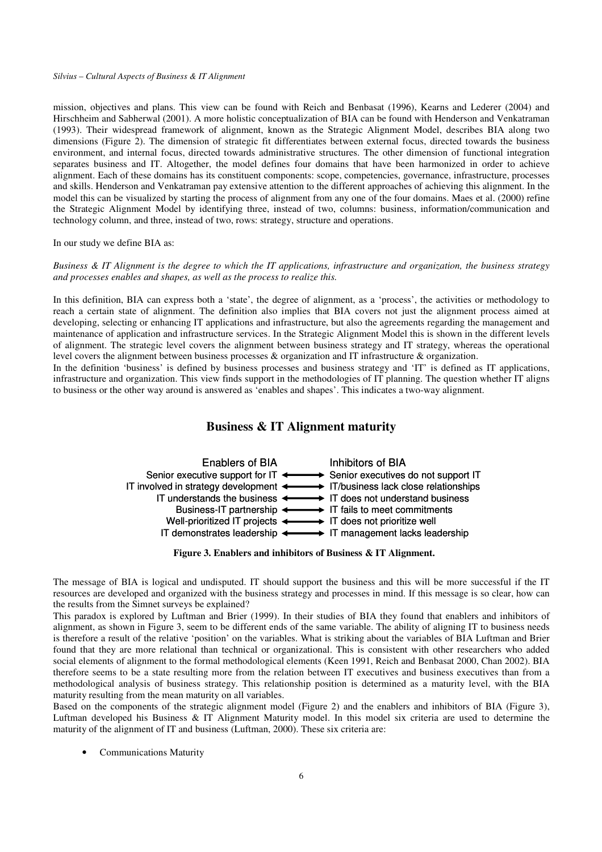mission, objectives and plans. This view can be found with Reich and Benbasat (1996), Kearns and Lederer (2004) and Hirschheim and Sabherwal (2001). A more holistic conceptualization of BIA can be found with Henderson and Venkatraman (1993). Their widespread framework of alignment, known as the Strategic Alignment Model, describes BIA along two dimensions (Figure 2). The dimension of strategic fit differentiates between external focus, directed towards the business environment, and internal focus, directed towards administrative structures. The other dimension of functional integration separates business and IT. Altogether, the model defines four domains that have been harmonized in order to achieve alignment. Each of these domains has its constituent components: scope, competencies, governance, infrastructure, processes and skills. Henderson and Venkatraman pay extensive attention to the different approaches of achieving this alignment. In the model this can be visualized by starting the process of alignment from any one of the four domains. Maes et al. (2000) refine the Strategic Alignment Model by identifying three, instead of two, columns: business, information/communication and technology column, and three, instead of two, rows: strategy, structure and operations.

In our study we define BIA as:

*Business & IT Alignment is the degree to which the IT applications, infrastructure and organization, the business strategy and processes enables and shapes, as well as the process to realize this.* 

In this definition, BIA can express both a 'state', the degree of alignment, as a 'process', the activities or methodology to reach a certain state of alignment. The definition also implies that BIA covers not just the alignment process aimed at developing, selecting or enhancing IT applications and infrastructure, but also the agreements regarding the management and maintenance of application and infrastructure services. In the Strategic Alignment Model this is shown in the different levels of alignment. The strategic level covers the alignment between business strategy and IT strategy, whereas the operational level covers the alignment between business processes & organization and IT infrastructure & organization.

In the definition 'business' is defined by business processes and business strategy and 'IT' is defined as IT applications, infrastructure and organization. This view finds support in the methodologies of IT planning. The question whether IT aligns to business or the other way around is answered as 'enables and shapes'. This indicates a two-way alignment.

## **Business & IT Alignment maturity**



**Figure 3. Enablers and inhibitors of Business & IT Alignment.** 

The message of BIA is logical and undisputed. IT should support the business and this will be more successful if the IT resources are developed and organized with the business strategy and processes in mind. If this message is so clear, how can the results from the Simnet surveys be explained?

This paradox is explored by Luftman and Brier (1999). In their studies of BIA they found that enablers and inhibitors of alignment, as shown in Figure 3, seem to be different ends of the same variable. The ability of aligning IT to business needs is therefore a result of the relative 'position' on the variables. What is striking about the variables of BIA Luftman and Brier found that they are more relational than technical or organizational. This is consistent with other researchers who added social elements of alignment to the formal methodological elements (Keen 1991, Reich and Benbasat 2000, Chan 2002). BIA therefore seems to be a state resulting more from the relation between IT executives and business executives than from a methodological analysis of business strategy. This relationship position is determined as a maturity level, with the BIA maturity resulting from the mean maturity on all variables.

Based on the components of the strategic alignment model (Figure 2) and the enablers and inhibitors of BIA (Figure 3), Luftman developed his Business & IT Alignment Maturity model. In this model six criteria are used to determine the maturity of the alignment of IT and business (Luftman, 2000). These six criteria are:

Communications Maturity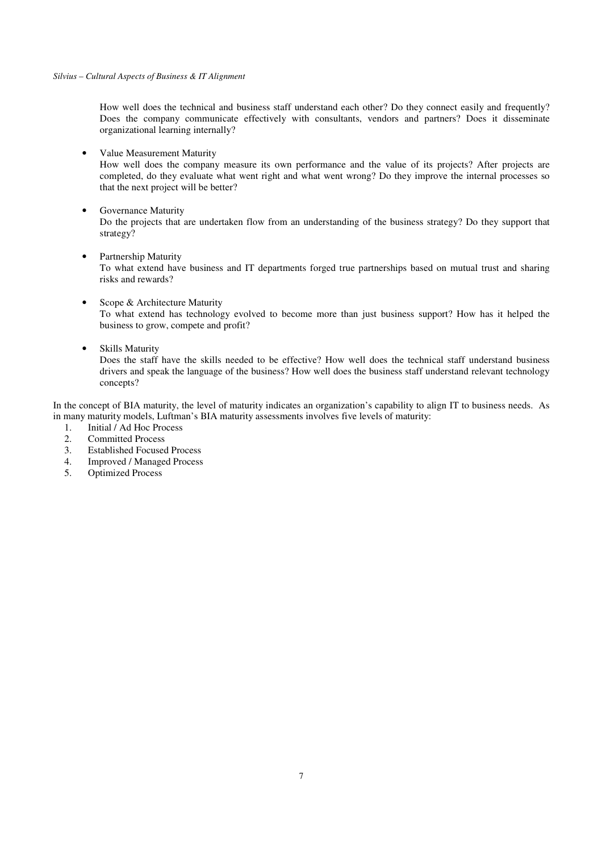How well does the technical and business staff understand each other? Do they connect easily and frequently? Does the company communicate effectively with consultants, vendors and partners? Does it disseminate organizational learning internally?

• Value Measurement Maturity

How well does the company measure its own performance and the value of its projects? After projects are completed, do they evaluate what went right and what went wrong? Do they improve the internal processes so that the next project will be better?

- Governance Maturity Do the projects that are undertaken flow from an understanding of the business strategy? Do they support that strategy?
- Partnership Maturity To what extend have business and IT departments forged true partnerships based on mutual trust and sharing risks and rewards?
- Scope & Architecture Maturity To what extend has technology evolved to become more than just business support? How has it helped the business to grow, compete and profit?
- Skills Maturity

Does the staff have the skills needed to be effective? How well does the technical staff understand business drivers and speak the language of the business? How well does the business staff understand relevant technology concepts?

In the concept of BIA maturity, the level of maturity indicates an organization's capability to align IT to business needs. As in many maturity models, Luftman's BIA maturity assessments involves five levels of maturity:

- 1. Initial / Ad Hoc Process<br>2. Committed Process
- 2. Committed Process<br>3. Established Focuse
- 3. Established Focused Process
- 4. Improved / Managed Process<br>5. Optimized Process
- 5. Optimized Process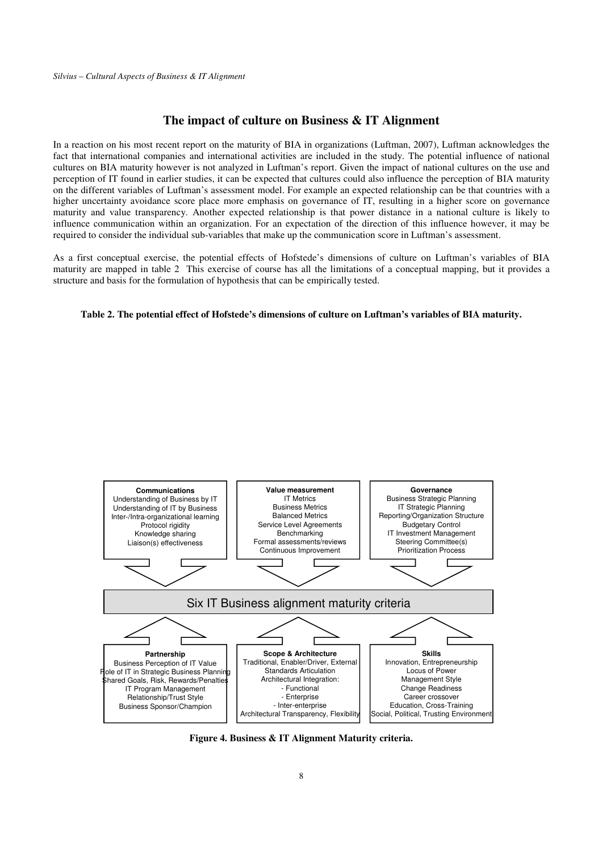#### **The impact of culture on Business & IT Alignment**

In a reaction on his most recent report on the maturity of BIA in organizations (Luftman, 2007), Luftman acknowledges the fact that international companies and international activities are included in the study. The potential influence of national cultures on BIA maturity however is not analyzed in Luftman's report. Given the impact of national cultures on the use and perception of IT found in earlier studies, it can be expected that cultures could also influence the perception of BIA maturity on the different variables of Luftman's assessment model. For example an expected relationship can be that countries with a higher uncertainty avoidance score place more emphasis on governance of IT, resulting in a higher score on governance maturity and value transparency. Another expected relationship is that power distance in a national culture is likely to influence communication within an organization. For an expectation of the direction of this influence however, it may be required to consider the individual sub-variables that make up the communication score in Luftman's assessment.

As a first conceptual exercise, the potential effects of Hofstede's dimensions of culture on Luftman's variables of BIA maturity are mapped in table 2 This exercise of course has all the limitations of a conceptual mapping, but it provides a structure and basis for the formulation of hypothesis that can be empirically tested.

#### **Table 2. The potential effect of Hofstede's dimensions of culture on Luftman's variables of BIA maturity.**



**Figure 4. Business & IT Alignment Maturity criteria.**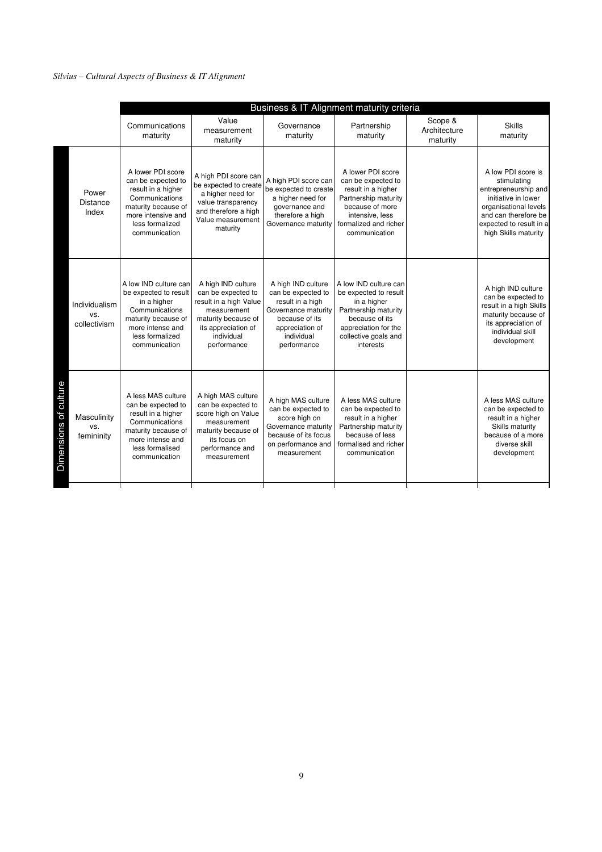|                                      |                                                                                                                                                                                                                     | Business & IT Alignment maturity criteria                                                                                                                        |                                                                                                                                                              |                                                                                                                                                       |                                                                                                                                                                       |                                     |                                                                                                                                                                                      |  |  |
|--------------------------------------|---------------------------------------------------------------------------------------------------------------------------------------------------------------------------------------------------------------------|------------------------------------------------------------------------------------------------------------------------------------------------------------------|--------------------------------------------------------------------------------------------------------------------------------------------------------------|-------------------------------------------------------------------------------------------------------------------------------------------------------|-----------------------------------------------------------------------------------------------------------------------------------------------------------------------|-------------------------------------|--------------------------------------------------------------------------------------------------------------------------------------------------------------------------------------|--|--|
|                                      |                                                                                                                                                                                                                     | Communications<br>maturity                                                                                                                                       | Value<br>measurement<br>maturity                                                                                                                             | Governance<br>maturity                                                                                                                                | Partnership<br>maturity                                                                                                                                               | Scope &<br>Architecture<br>maturity | <b>Skills</b><br>maturity                                                                                                                                                            |  |  |
| Power<br><b>Distance</b><br>Index    |                                                                                                                                                                                                                     | A lower PDI score<br>can be expected to<br>result in a higher<br>Communications<br>maturity because of<br>more intensive and<br>less formalized<br>communication | A high PDI score can<br>be expected to create<br>a higher need for<br>value transparency<br>and therefore a high<br>Value measurement<br>maturity            | A high PDI score can<br>be expected to create<br>a higher need for<br>governance and<br>therefore a high<br>Governance maturity                       | A lower PDI score<br>can be expected to<br>result in a higher<br>Partnership maturity<br>because of more<br>intensive, less<br>formalized and richer<br>communication |                                     | A low PDI score is<br>stimulating<br>entrepreneurship and<br>initiative in lower<br>organisational levels<br>and can therefore be<br>expected to result in a<br>high Skills maturity |  |  |
| Individualism<br>VS.<br>collectivism |                                                                                                                                                                                                                     | A low IND culture can<br>be expected to result<br>in a higher<br>Communications<br>maturity because of<br>more intense and<br>less formalized<br>communication   | A high IND culture<br>can be expected to<br>result in a high Value<br>measurement<br>maturity because of<br>its appreciation of<br>individual<br>performance | A high IND culture<br>can be expected to<br>result in a high<br>Governance maturity<br>because of its<br>appreciation of<br>individual<br>performance | A low IND culture can<br>be expected to result<br>in a higher<br>Partnership maturity<br>because of its<br>appreciation for the<br>collective goals and<br>interests  |                                     | A high IND culture<br>can be expected to<br>result in a high Skills<br>maturity because of<br>its appreciation of<br>individual skill<br>development                                 |  |  |
| Dimensions of culture                | A less MAS culture<br>can be expected to<br>result in a higher<br>Masculinity<br>Communications<br>VS.<br>maturity because of<br>femininity<br>more intense and<br>its focus on<br>less formalised<br>communication |                                                                                                                                                                  | A high MAS culture<br>can be expected to<br>score high on Value<br>measurement<br>maturity because of<br>performance and<br>measurement                      | A high MAS culture<br>can be expected to<br>score high on<br>Governance maturity<br>because of its focus<br>on performance and<br>measurement         | A less MAS culture<br>can be expected to<br>result in a higher<br>Partnership maturity<br>because of less<br>formalised and richer<br>communication                   |                                     | A less MAS culture<br>can be expected to<br>result in a higher<br>Skills maturity<br>because of a more<br>diverse skill<br>development                                               |  |  |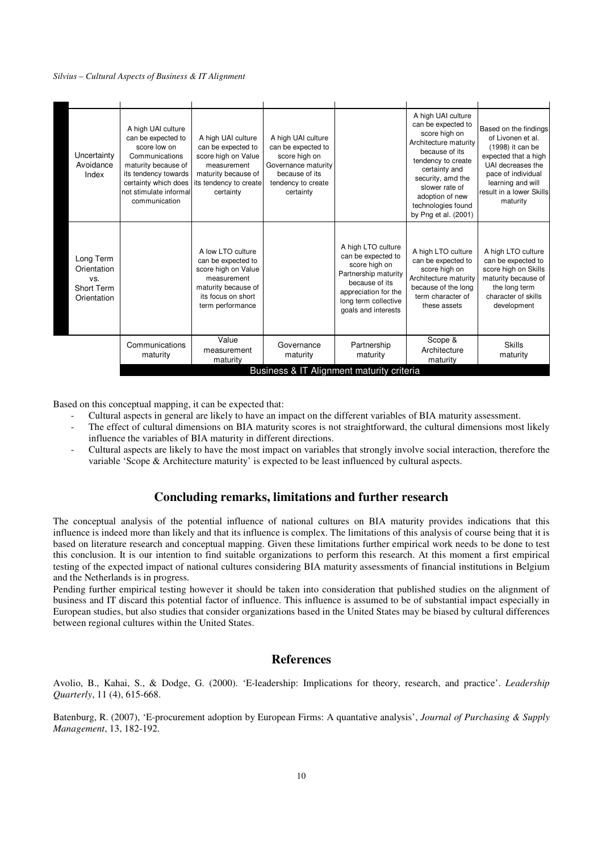| Uncertainty<br>Avoidance<br>Index                            | A high UAI culture<br>can be expected to<br>score low on<br>Communications<br>maturity because of<br>its tendency towards<br>certainty which does<br>not stimulate informal<br>communication | A high UAI culture<br>can be expected to<br>score high on Value<br>measurement<br>maturity because of<br>its tendency to create<br>certainty   | A high UAI culture<br>can be expected to<br>score high on<br>Governance maturity<br>because of its<br>tendency to create<br>certainty |                                                                                                                                                                            | A high UAI culture<br>can be expected to<br>score high on<br>Architecture maturity<br>because of its<br>tendency to create<br>certainty and<br>security, amd the<br>slower rate of<br>adoption of new<br>technologies found<br>by Png et al. (2001) | Based on the findings<br>of Livonen et al.<br>(1998) it can be<br>expected that a high<br>UAI decreases the<br>pace of individual<br>learning and will<br>result in a lower Skills<br>maturity |  |  |
|--------------------------------------------------------------|----------------------------------------------------------------------------------------------------------------------------------------------------------------------------------------------|------------------------------------------------------------------------------------------------------------------------------------------------|---------------------------------------------------------------------------------------------------------------------------------------|----------------------------------------------------------------------------------------------------------------------------------------------------------------------------|-----------------------------------------------------------------------------------------------------------------------------------------------------------------------------------------------------------------------------------------------------|------------------------------------------------------------------------------------------------------------------------------------------------------------------------------------------------|--|--|
| Long Term<br>Orientation<br>VS.<br>Short Term<br>Orientation |                                                                                                                                                                                              | A low LTO culture<br>can be expected to<br>score high on Value<br>measurement<br>maturity because of<br>its focus on short<br>term performance |                                                                                                                                       | A high LTO culture<br>can be expected to<br>score high on<br>Partnership maturity<br>because of its<br>appreciation for the<br>long term collective<br>goals and interests | A high LTO culture<br>can be expected to<br>score high on<br>Architecture maturity<br>because of the long<br>term character of<br>these assets                                                                                                      | A high LTO culture<br>can be expected to<br>score high on Skills<br>maturity because of<br>the long term<br>character of skills<br>development                                                 |  |  |
|                                                              | Communications<br>maturity                                                                                                                                                                   | Value<br>measurement<br>maturity                                                                                                               | Governance<br>maturity                                                                                                                | Partnership<br>maturity                                                                                                                                                    | Scope &<br>Architecture<br>maturity                                                                                                                                                                                                                 | <b>Skills</b><br>maturity                                                                                                                                                                      |  |  |
|                                                              | Business & IT Alignment maturity criteria                                                                                                                                                    |                                                                                                                                                |                                                                                                                                       |                                                                                                                                                                            |                                                                                                                                                                                                                                                     |                                                                                                                                                                                                |  |  |

Based on this conceptual mapping, it can be expected that:

- Cultural aspects in general are likely to have an impact on the different variables of BIA maturity assessment.
- The effect of cultural dimensions on BIA maturity scores is not straightforward, the cultural dimensions most likely influence the variables of BIA maturity in different directions.
- Cultural aspects are likely to have the most impact on variables that strongly involve social interaction, therefore the variable 'Scope & Architecture maturity' is expected to be least influenced by cultural aspects.

#### **Concluding remarks, limitations and further research**

The conceptual analysis of the potential influence of national cultures on BIA maturity provides indications that this influence is indeed more than likely and that its influence is complex. The limitations of this analysis of course being that it is based on literature research and conceptual mapping. Given these limitations further empirical work needs to be done to test this conclusion. It is our intention to find suitable organizations to perform this research. At this moment a first empirical testing of the expected impact of national cultures considering BIA maturity assessments of financial institutions in Belgium and the Netherlands is in progress.

Pending further empirical testing however it should be taken into consideration that published studies on the alignment of business and IT discard this potential factor of influence. This influence is assumed to be of substantial impact especially in European studies, but also studies that consider organizations based in the United States may be biased by cultural differences between regional cultures within the United States.

### **References**

Avolio, B., Kahai, S., & Dodge, G. (2000). 'E-leadership: Implications for theory, research, and practice'. *Leadership Quarterly*, 11 (4), 615-668.

Batenburg, R. (2007), 'E-procurement adoption by European Firms: A quantative analysis', *Journal of Purchasing & Supply Management*, 13, 182-192.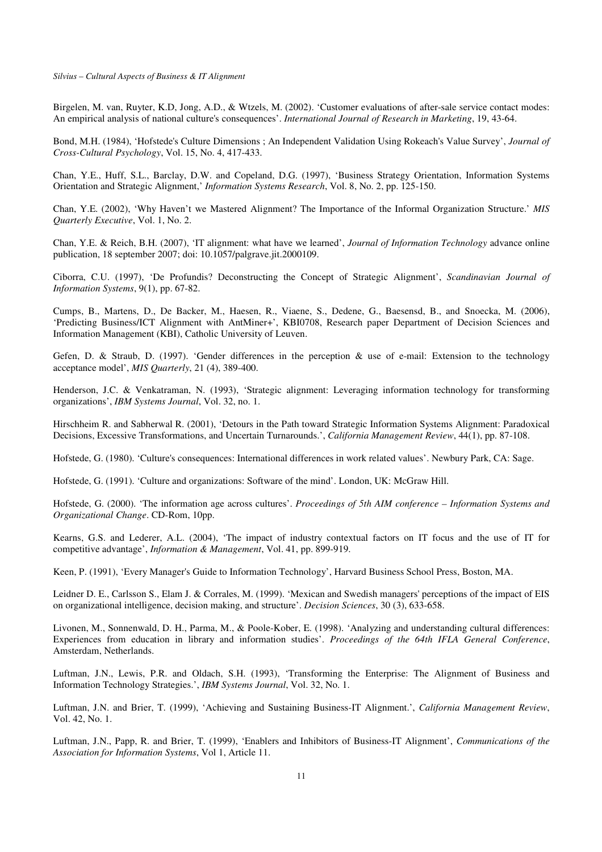Birgelen, M. van, Ruyter, K.D, Jong, A.D., & Wtzels, M. (2002). 'Customer evaluations of after-sale service contact modes: An empirical analysis of national culture's consequences'. *International Journal of Research in Marketing*, 19, 43-64.

Bond, M.H. (1984), 'Hofstede's Culture Dimensions ; An Independent Validation Using Rokeach's Value Survey', *Journal of Cross-Cultural Psychology*, Vol. 15, No. 4, 417-433.

Chan, Y.E., Huff, S.L., Barclay, D.W. and Copeland, D.G. (1997), 'Business Strategy Orientation, Information Systems Orientation and Strategic Alignment,' *Information Systems Research*, Vol. 8, No. 2, pp. 125-150.

Chan, Y.E. (2002), 'Why Haven't we Mastered Alignment? The Importance of the Informal Organization Structure.' *MIS Quarterly Executive*, Vol. 1, No. 2.

Chan, Y.E. & Reich, B.H. (2007), 'IT alignment: what have we learned', *Journal of Information Technology* advance online publication, 18 september 2007; doi: 10.1057/palgrave.jit.2000109.

Ciborra, C.U. (1997), 'De Profundis? Deconstructing the Concept of Strategic Alignment', *Scandinavian Journal of Information Systems*, 9(1), pp. 67-82.

Cumps, B., Martens, D., De Backer, M., Haesen, R., Viaene, S., Dedene, G., Baesensd, B., and Snoecka, M. (2006), 'Predicting Business/ICT Alignment with AntMiner+', KBI0708, Research paper Department of Decision Sciences and Information Management (KBI), Catholic University of Leuven.

Gefen, D. & Straub, D. (1997). 'Gender differences in the perception & use of e-mail: Extension to the technology acceptance model', *MIS Quarterly*, 21 (4), 389-400.

Henderson, J.C. & Venkatraman, N. (1993), 'Strategic alignment: Leveraging information technology for transforming organizations', *IBM Systems Journal*, Vol. 32, no. 1.

Hirschheim R. and Sabherwal R. (2001), 'Detours in the Path toward Strategic Information Systems Alignment: Paradoxical Decisions, Excessive Transformations, and Uncertain Turnarounds.', *California Management Review*, 44(1), pp. 87-108.

Hofstede, G. (1980). 'Culture's consequences: International differences in work related values'. Newbury Park, CA: Sage.

Hofstede, G. (1991). 'Culture and organizations: Software of the mind'. London, UK: McGraw Hill.

Hofstede, G. (2000). 'The information age across cultures'. *Proceedings of 5th AIM conference – Information Systems and Organizational Change*. CD-Rom, 10pp.

Kearns, G.S. and Lederer, A.L. (2004), 'The impact of industry contextual factors on IT focus and the use of IT for competitive advantage', *Information & Management*, Vol. 41, pp. 899-919.

Keen, P. (1991), 'Every Manager's Guide to Information Technology', Harvard Business School Press, Boston, MA.

Leidner D. E., Carlsson S., Elam J. & Corrales, M. (1999). 'Mexican and Swedish managers' perceptions of the impact of EIS on organizational intelligence, decision making, and structure'. *Decision Sciences*, 30 (3), 633-658.

Livonen, M., Sonnenwald, D. H., Parma, M., & Poole-Kober, E. (1998). 'Analyzing and understanding cultural differences: Experiences from education in library and information studies'. *Proceedings of the 64th IFLA General Conference*, Amsterdam, Netherlands.

Luftman, J.N., Lewis, P.R. and Oldach, S.H. (1993), 'Transforming the Enterprise: The Alignment of Business and Information Technology Strategies.', *IBM Systems Journal*, Vol. 32, No. 1.

Luftman, J.N. and Brier, T. (1999), 'Achieving and Sustaining Business-IT Alignment.', *California Management Review*, Vol. 42, No. 1.

Luftman, J.N., Papp, R. and Brier, T. (1999), 'Enablers and Inhibitors of Business-IT Alignment', *Communications of the Association for Information Systems*, Vol 1, Article 11.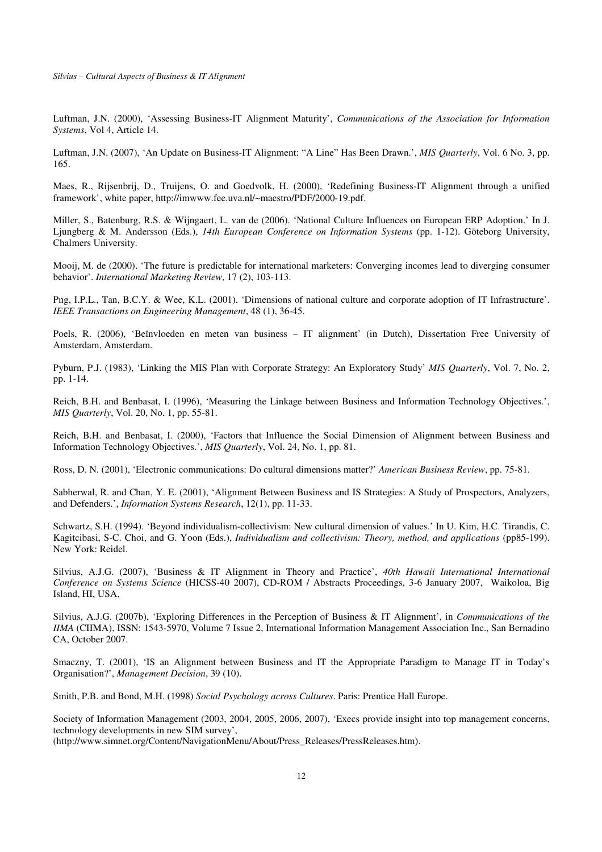Luftman, J.N. (2000), 'Assessing Business-IT Alignment Maturity', *Communications of the Association for Information Systems*, Vol 4, Article 14.

Luftman, J.N. (2007), 'An Update on Business-IT Alignment: "A Line" Has Been Drawn.', *MIS Quarterly*, Vol. 6 No. 3, pp. 165.

Maes, R., Rijsenbrij, D., Truijens, O. and Goedvolk, H. (2000), 'Redefining Business-IT Alignment through a unified framework', white paper, http://imwww.fee.uva.nl/~maestro/PDF/2000-19.pdf.

Miller, S., Batenburg, R.S. & Wijngaert, L. van de (2006). 'National Culture Influences on European ERP Adoption.' In J. Ljungberg & M. Andersson (Eds.), *14th European Conference on Information Systems* (pp. 1-12). Göteborg University, Chalmers University.

Mooij, M. de (2000). 'The future is predictable for international marketers: Converging incomes lead to diverging consumer behavior'. *International Marketing Review*, 17 (2), 103-113.

Png, I.P.L., Tan, B.C.Y. & Wee, K.L. (2001). 'Dimensions of national culture and corporate adoption of IT Infrastructure'. *IEEE Transactions on Engineering Management*, 48 (1), 36-45.

Poels, R. (2006), 'Beïnvloeden en meten van business – IT alignment' (in Dutch), Dissertation Free University of Amsterdam, Amsterdam.

Pyburn, P.J. (1983), 'Linking the MIS Plan with Corporate Strategy: An Exploratory Study' *MIS Quarterly*, Vol. 7, No. 2, pp. 1-14.

Reich, B.H. and Benbasat, I. (1996), 'Measuring the Linkage between Business and Information Technology Objectives.', *MIS Quarterly*, Vol. 20, No. 1, pp. 55-81.

Reich, B.H. and Benbasat, I. (2000), 'Factors that Influence the Social Dimension of Alignment between Business and Information Technology Objectives.', *MIS Quarterly*, Vol. 24, No. 1, pp. 81.

Ross, D. N. (2001), 'Electronic communications: Do cultural dimensions matter?' *American Business Review*, pp. 75-81.

Sabherwal, R. and Chan, Y. E. (2001), 'Alignment Between Business and IS Strategies: A Study of Prospectors, Analyzers, and Defenders.', *Information Systems Research*, 12(1), pp. 11-33.

Schwartz, S.H. (1994). 'Beyond individualism-collectivism: New cultural dimension of values.' In U. Kim, H.C. Tirandis, C. Kagitcibasi, S-C. Choi, and G. Yoon (Eds.), *Individualism and collectivism: Theory, method, and applications* (pp85-199). New York: Reidel.

Silvius, A.J.G. (2007), 'Business & IT Alignment in Theory and Practice', *40th Hawaii International International Conference on Systems Science* (HICSS-40 2007), CD-ROM / Abstracts Proceedings, 3-6 January 2007, Waikoloa, Big Island, HI, USA,

Silvius, A.J.G. (2007b), 'Exploring Differences in the Perception of Business & IT Alignment', in *Communications of the IIMA* (CIIMA), ISSN: 1543-5970, Volume 7 Issue 2, International Information Management Association Inc., San Bernadino CA, October 2007.

Smaczny, T. (2001), 'IS an Alignment between Business and IT the Appropriate Paradigm to Manage IT in Today's Organisation?', *Management Decision*, 39 (10).

Smith, P.B. and Bond, M.H. (1998) *Social Psychology across Cultures*. Paris: Prentice Hall Europe.

Society of Information Management (2003, 2004, 2005, 2006, 2007), 'Execs provide insight into top management concerns, technology developments in new SIM survey',

(http://www.simnet.org/Content/NavigationMenu/About/Press\_Releases/PressReleases.htm).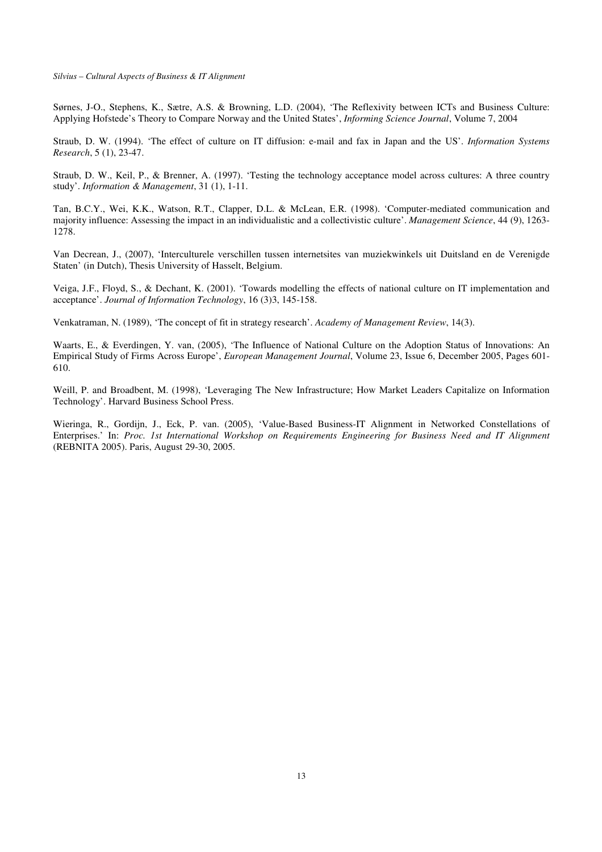Sørnes, J-O., Stephens, K., Sætre, A.S. & Browning, L.D. (2004), 'The Reflexivity between ICTs and Business Culture: Applying Hofstede's Theory to Compare Norway and the United States', *Informing Science Journal*, Volume 7, 2004

Straub, D. W. (1994). 'The effect of culture on IT diffusion: e-mail and fax in Japan and the US'. *Information Systems Research*, 5 (1), 23-47.

Straub, D. W., Keil, P., & Brenner, A. (1997). 'Testing the technology acceptance model across cultures: A three country study'. *Information & Management*, 31 (1), 1-11.

Tan, B.C.Y., Wei, K.K., Watson, R.T., Clapper, D.L. & McLean, E.R. (1998). 'Computer-mediated communication and majority influence: Assessing the impact in an individualistic and a collectivistic culture'. *Management Science*, 44 (9), 1263- 1278.

Van Decrean, J., (2007), 'Interculturele verschillen tussen internetsites van muziekwinkels uit Duitsland en de Verenigde Staten' (in Dutch), Thesis University of Hasselt, Belgium.

Veiga, J.F., Floyd, S., & Dechant, K. (2001). 'Towards modelling the effects of national culture on IT implementation and acceptance'. *Journal of Information Technology*, 16 (3)3, 145-158.

Venkatraman, N. (1989), 'The concept of fit in strategy research'. *Academy of Management Review*, 14(3).

Waarts, E., & Everdingen, Y. van, (2005), 'The Influence of National Culture on the Adoption Status of Innovations: An Empirical Study of Firms Across Europe', *European Management Journal*, Volume 23, Issue 6, December 2005, Pages 601- 610.

Weill, P. and Broadbent, M. (1998), 'Leveraging The New Infrastructure; How Market Leaders Capitalize on Information Technology'. Harvard Business School Press.

Wieringa, R., Gordijn, J., Eck, P. van. (2005), 'Value-Based Business-IT Alignment in Networked Constellations of Enterprises.' In: *Proc. 1st International Workshop on Requirements Engineering for Business Need and IT Alignment* (REBNITA 2005). Paris, August 29-30, 2005.